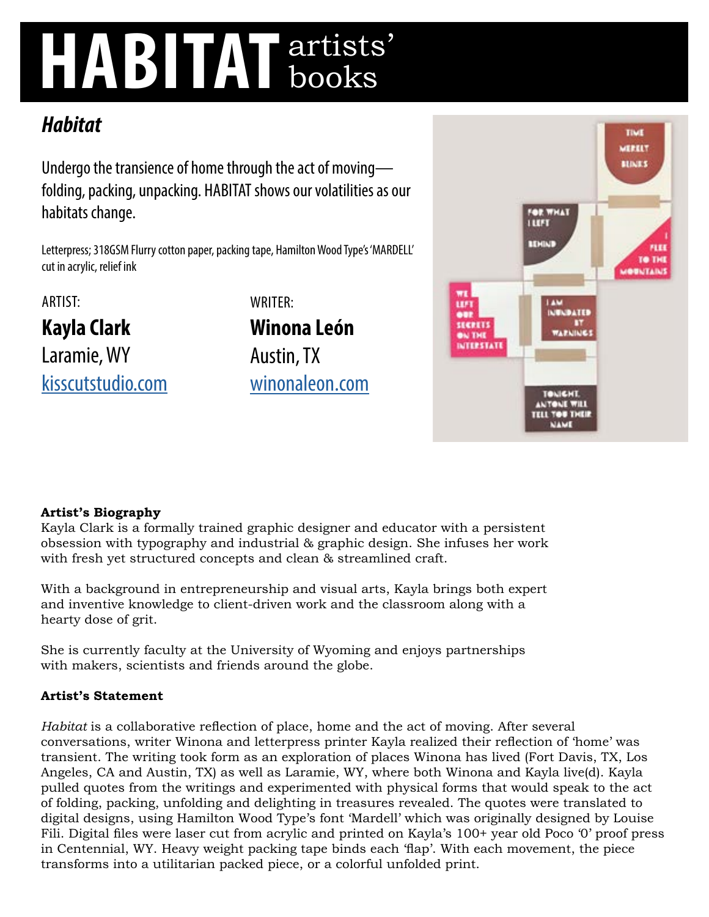# **HABITAT** artists' books

# *Habitat*

Undergo the transience of home through the act of moving folding, packing, unpacking. HABITAT shows our volatilities as our habitats change.

Letterpress; 318GSM Flurry cotton paper, packing tape, Hamilton Wood Type's 'MARDELL' cut in acrylic, relief ink

ARTIST:

**Kayla Clark**  Laramie, WY [kisscutstudio.com](http://kisscutstudio.com) WRITER: **Winona León**  Austin, TX [winonaleon.com](http://winonaleon.com)



## **Artist's Biography**

Kayla Clark is a formally trained graphic designer and educator with a persistent obsession with typography and industrial & graphic design. She infuses her work with fresh yet structured concepts and clean & streamlined craft.

With a background in entrepreneurship and visual arts, Kayla brings both expert and inventive knowledge to client-driven work and the classroom along with a hearty dose of grit.

She is currently faculty at the University of Wyoming and enjoys partnerships with makers, scientists and friends around the globe.

### **Artist's Statement**

*Habitat* is a collaborative reflection of place, home and the act of moving. After several conversations, writer Winona and letterpress printer Kayla realized their reflection of 'home' was transient. The writing took form as an exploration of places Winona has lived (Fort Davis, TX, Los Angeles, CA and Austin, TX) as well as Laramie, WY, where both Winona and Kayla live(d). Kayla pulled quotes from the writings and experimented with physical forms that would speak to the act of folding, packing, unfolding and delighting in treasures revealed. The quotes were translated to digital designs, using Hamilton Wood Type's font 'Mardell' which was originally designed by Louise Fili. Digital files were laser cut from acrylic and printed on Kayla's 100+ year old Poco '0' proof press in Centennial, WY. Heavy weight packing tape binds each 'flap'. With each movement, the piece transforms into a utilitarian packed piece, or a colorful unfolded print.